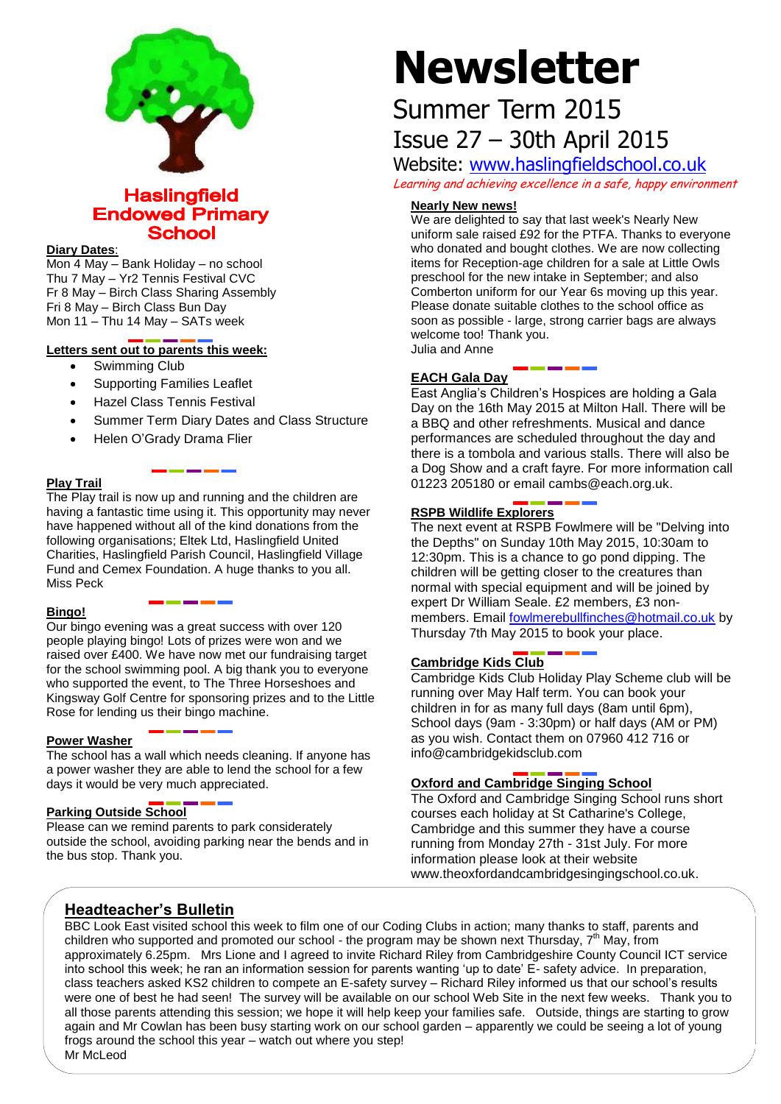

# **Haslingfield Endowed Primary School**

#### **Diary Dates**:

Mon 4 May – Bank Holiday – no school Thu 7 May – Yr2 Tennis Festival CVC Fr 8 May – Birch Class Sharing Assembly Fri 8 May – Birch Class Bun Day Mon 11 – Thu 14 May – SATs week

# **Letters sent out to parents this week:**

- Swimming Club
- Supporting Families Leaflet
- Hazel Class Tennis Festival
- Summer Term Diary Dates and Class Structure
- Helen O'Grady Drama Flier

## **Play Trail**

The Play trail is now up and running and the children are having a fantastic time using it. This opportunity may never have happened without all of the kind donations from the following organisations; Eltek Ltd, Haslingfield United Charities, Haslingfield Parish Council, Haslingfield Village Fund and Cemex Foundation. A huge thanks to you all. Miss Peck

#### **Bingo!**

Our bingo evening was a great success with over 120 people playing bingo! Lots of prizes were won and we raised over £400. We have now met our fundraising target for the school swimming pool. A big thank you to everyone who supported the event, to The Three Horseshoes and Kingsway Golf Centre for sponsoring prizes and to the Little Rose for lending us their bingo machine.

#### **Power Washer**

The school has a wall which needs cleaning. If anyone has a power washer they are able to lend the school for a few days it would be very much appreciated.

#### **Parking Outside School**

Please can we remind parents to park considerately outside the school, avoiding parking near the bends and in the bus stop. Thank you.

# **Newsletter**

# Summer Term 2015 Issue 27 – 30th April 2015

Website: [www.haslingfieldschool.co.uk](http://www.haslingfieldschool.co.uk/) Learning and achieving excellence in a safe, happy environment

## **Nearly New news!**

We are delighted to say that last week's Nearly New uniform sale raised £92 for the PTFA. Thanks to everyone who donated and bought clothes. We are now collecting items for Reception-age children for a sale at Little Owls preschool for the new intake in September; and also Comberton uniform for our Year 6s moving up this year. Please donate suitable clothes to the school office as soon as possible - large, strong carrier bags are always welcome too! Thank you. Julia and Anne

## **EACH Gala Day**

East Anglia's Children's Hospices are holding a Gala Day on the 16th May 2015 at Milton Hall. There will be a BBQ and other refreshments. Musical and dance performances are scheduled throughout the day and there is a tombola and various stalls. There will also be a Dog Show and a craft fayre. For more information call 01223 205180 or email cambs@each.org.uk.

# **RSPB Wildlife Explorers**

The next event at RSPB Fowlmere will be "Delving into the Depths" on Sunday 10th May 2015, 10:30am to 12:30pm. This is a chance to go pond dipping. The children will be getting closer to the creatures than normal with special equipment and will be joined by expert Dr William Seale. £2 members, £3 nonmembers. Email [fowlmerebullfinches@hotmail.co.uk](mailto:fowlmerebullfinches@hotmail.co.uk) by Thursday 7th May 2015 to book your place.

# **Cambridge Kids Club**

Cambridge Kids Club Holiday Play Scheme club will be running over May Half term. You can book your children in for as many full days (8am until 6pm), School days (9am - 3:30pm) or half days (AM or PM) as you wish. Contact them on 07960 412 716 or info@cambridgekidsclub.com

# **Oxford and Cambridge Singing School**

The Oxford and Cambridge Singing School runs short courses each holiday at St Catharine's College, Cambridge and this summer they have a course running from Monday 27th - 31st July. For more information please look at their website www.theoxfordandcambridgesingingschool.co.uk.

# **Headteacher's Bulletin**

neauteacher s Buneth!<br>BBC Look East visited school this week to film one of our Coding Clubs in action; many thanks to staff, parents and  $B$  by Ebok East visited school this week to him one of our boaing blacs in action, many thanks to stan, paremis and promoted our school - the program may be shown next Thursday,  $7<sup>th</sup>$  May, from ennaron and supported and promoted our concert the pregram may be encurrent mareday, it thay, non-<br>approximately 6.25pm. Mrs Lione and I agreed to invite Richard Riley from Cambridgeshire County Council ICT service epprominately subspace and craft area. For more craft article in the craft art of the same arguments of the cra<br>into school this week; he ran an information session for parents wanting 'up to date' E- safety advice. In pre class teachers asked KS2 children to compete an E-safety survey – Richard Riley informed us that our school's results were one of best he had seen! The survey will be available on our school Web Site in the next few weeks. Thank you to all those parents attending this session; we hope it will help keep your families safe. Outside, things are starting to grow again and Mr Cowlan has been busy starting work on our school garden – apparently we could be seeing a lot of young frogs around the school this year – watch out where you step! Mr McLeod